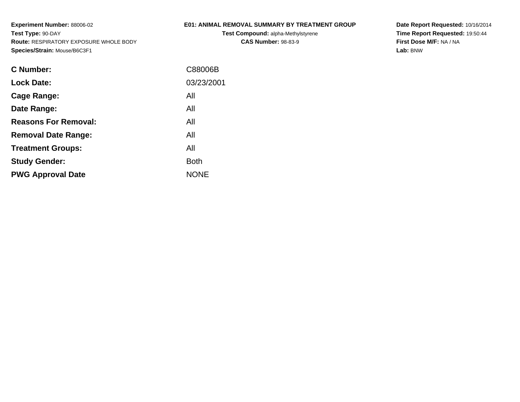## **E01: ANIMAL REMOVAL SUMMARY BY TREATMENT GROUP**

**Test Compound:** alpha-Methylstyrene**CAS Number:** 98-83-9

**Date Report Requested:** 10/16/2014 **Time Report Requested:** 19:50:44**First Dose M/F:** NA / NA**Lab:** BNW

| C Number:                   | C88006B     |
|-----------------------------|-------------|
| <b>Lock Date:</b>           | 03/23/2001  |
| Cage Range:                 | All         |
| Date Range:                 | All         |
| <b>Reasons For Removal:</b> | All         |
| <b>Removal Date Range:</b>  | All         |
| <b>Treatment Groups:</b>    | All         |
| <b>Study Gender:</b>        | <b>Both</b> |
| <b>PWG Approval Date</b>    | <b>NONE</b> |
|                             |             |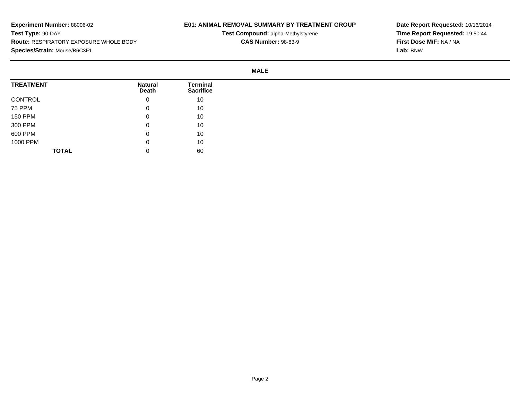## **E01: ANIMAL REMOVAL SUMMARY BY TREATMENT GROUP**

**Test Compound:** alpha-Methylstyrene**CAS Number:** 98-83-9

**Date Report Requested:** 10/16/2014**Time Report Requested:** 19:50:44**First Dose M/F:** NA / NA**Lab:** BNW

**MALE**

| <b>TREATMENT</b> | <b>Natural</b><br>Death | <b>Terminal</b><br><b>Sacrifice</b> |
|------------------|-------------------------|-------------------------------------|
| CONTROL          | 0                       | 10                                  |
| 75 PPM           | 0                       | 10                                  |
| <b>150 PPM</b>   | 0                       | 10                                  |
| 300 PPM          | 0                       | 10                                  |
| 600 PPM          | 0                       | 10                                  |
| 1000 PPM         | 0                       | 10                                  |
| <b>TOTAL</b>     | 0                       | 60                                  |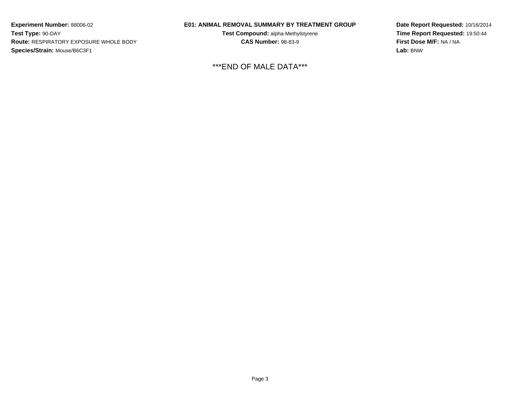## **E01: ANIMAL REMOVAL SUMMARY BY TREATMENT GROUP**

**Test Compound:** alpha-Methylstyrene**CAS Number:** 98-83-9

\*\*\*END OF MALE DATA\*\*\*

**Date Report Requested:** 10/16/2014**Time Report Requested:** 19:50:44**First Dose M/F:** NA / NA**Lab:** BNW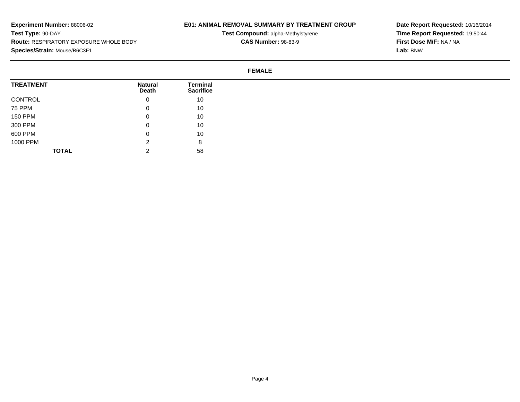## **E01: ANIMAL REMOVAL SUMMARY BY TREATMENT GROUP**

**Test Compound:** alpha-Methylstyrene**CAS Number:** 98-83-9

**Date Report Requested:** 10/16/2014**Time Report Requested:** 19:50:44**First Dose M/F:** NA / NA**Lab:** BNW

#### **FEMALE**

| <b>TREATMENT</b> | <b>Natural</b><br>Death | <b>Terminal</b><br><b>Sacrifice</b> |
|------------------|-------------------------|-------------------------------------|
| CONTROL          | 0                       | 10                                  |
| 75 PPM           | 0                       | 10                                  |
| <b>150 PPM</b>   | 0                       | 10                                  |
| 300 PPM          | 0                       | 10                                  |
| 600 PPM          | $\mathbf{0}$            | 10                                  |
| 1000 PPM         | ົ<br><u>_</u>           | 8                                   |
| <b>TOTAL</b>     | ⌒<br><u>.</u>           | 58                                  |